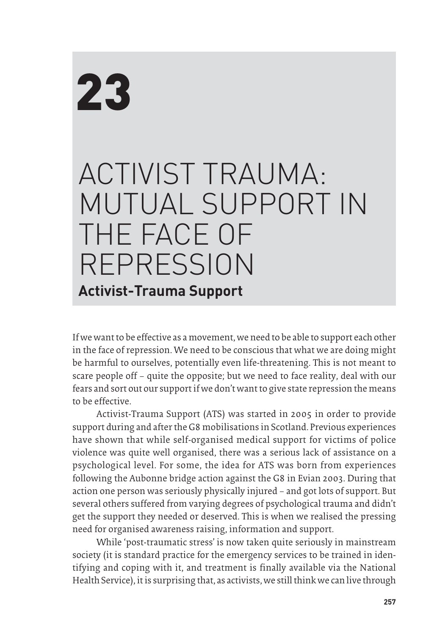# 23

## ACTIVIST TRAUMA: MUTUAL SUPPORT IN THE FACE OF REPRESSION **Activist-Trauma Support**

If we want to be effective as a movement, we need to be able to support each other in the face of repression. We need to be conscious that what we are doing might be harmful to ourselves, potentially even life-threatening. This is not meant to scare people off – quite the opposite; but we need to face reality, deal with our fears and sort out our support if we don't want to give state repression the means to be effective.

Activist-Trauma Support (ATS) was started in 2005 in order to provide support during and after the G8 mobilisations in Scotland. Previous experiences have shown that while self-organised medical support for victims of police violence was quite well organised, there was a serious lack of assistance on a psychological level. For some, the idea for ATS was born from experiences following the Aubonne bridge action against the G8 in Evian 2003. During that action one person was seriously physically injured – and got lots of support. But several others suffered from varying degrees of psychological trauma and didn't get the support they needed or deserved. This is when we realised the pressing need for organised awareness raising, information and support.

While 'post-traumatic stress' is now taken quite seriously in mainstream society (it is standard practice for the emergency services to be trained in identifying and coping with it, and treatment is finally available via the National Health Service), it is surprising that, as activists, we still think we can live through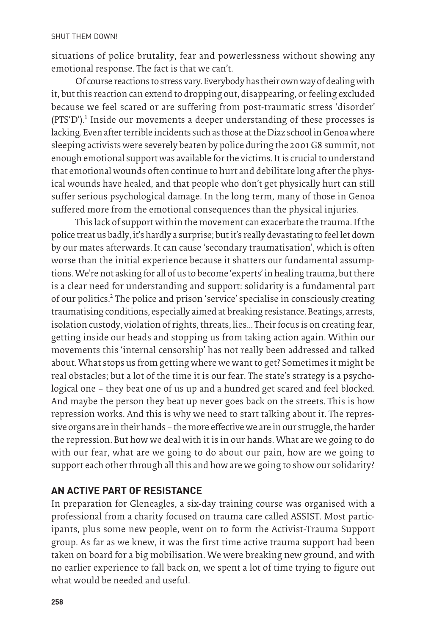situations of police brutality, fear and powerlessness without showing any emotional response. The fact is that we can't.

Of course reactions to stress vary. Everybody has their own way of dealing with it, but this reaction can extend to dropping out, disappearing, or feeling excluded because we feel scared or are suffering from post-traumatic stress 'disorder' (PTS'D').<sup>1</sup> Inside our movements a deeper understanding of these processes is lacking. Even after terrible incidents such as those at the Diaz school in Genoa where sleeping activists were severely beaten by police during the 2001 G8 summit, not enough emotional support was available for the victims. It is crucial to understand that emotional wounds often continue to hurt and debilitate long after the physical wounds have healed, and that people who don't get physically hurt can still suffer serious psychological damage. In the long term, many of those in Genoa suffered more from the emotional consequences than the physical injuries.

This lack of support within the movement can exacerbate the trauma. If the police treat us badly, it's hardly a surprise; but it's really devastating to feel let down by our mates afterwards. It can cause 'secondary traumatisation', which is often worse than the initial experience because it shatters our fundamental assumptions. We're not asking for all of us to become 'experts' in healing trauma, but there is a clear need for understanding and support: solidarity is a fundamental part of our politics.2 The police and prison 'service' specialise in consciously creating traumatising conditions, especially aimed at breaking resistance. Beatings, arrests, isolation custody, violation of rights, threats, lies… Their focus is on creating fear, getting inside our heads and stopping us from taking action again. Within our movements this 'internal censorship' has not really been addressed and talked about. What stops us from getting where we want to get? Sometimes it might be real obstacles; but a lot of the time it is our fear. The state's strategy is a psychological one – they beat one of us up and a hundred get scared and feel blocked. And maybe the person they beat up never goes back on the streets. This is how repression works. And this is why we need to start talking about it. The repressive organs are in their hands – the more effective we are in our struggle, the harder the repression. But how we deal with it is in our hands. What are we going to do with our fear, what are we going to do about our pain, how are we going to support each other through all this and how are we going to show our solidarity?

### **AN ACTIVE PART OF RESISTANCE**

In preparation for Gleneagles, a six-day training course was organised with a professional from a charity focused on trauma care called ASSIST. Most participants, plus some new people, went on to form the Activist-Trauma Support group. As far as we knew, it was the first time active trauma support had been taken on board for a big mobilisation. We were breaking new ground, and with no earlier experience to fall back on, we spent a lot of time trying to figure out what would be needed and useful.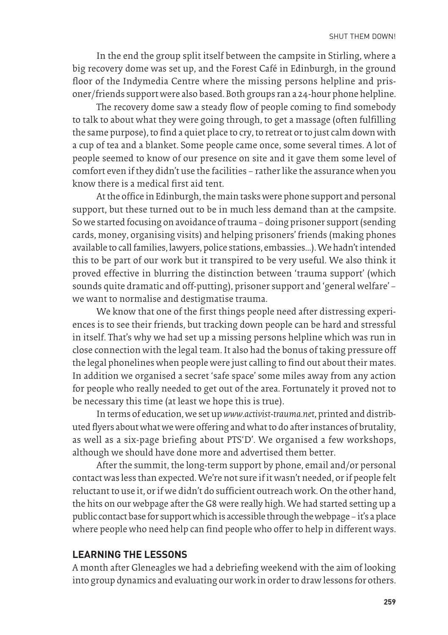In the end the group split itself between the campsite in Stirling, where a big recovery dome was set up, and the Forest Café in Edinburgh, in the ground floor of the Indymedia Centre where the missing persons helpline and prisoner/friends support were also based. Both groups ran a 24-hour phone helpline.

The recovery dome saw a steady flow of people coming to find somebody to talk to about what they were going through, to get a massage (often fulfilling the same purpose), to find a quiet place to cry, to retreat or to just calm down with a cup of tea and a blanket. Some people came once, some several times. A lot of people seemed to know of our presence on site and it gave them some level of comfort even if they didn't use the facilities – rather like the assurance when you know there is a medical first aid tent.

At the office in Edinburgh, the main tasks were phone support and personal support, but these turned out to be in much less demand than at the campsite. So we started focusing on avoidance of trauma – doing prisoner support (sending cards, money, organising visits) and helping prisoners' friends (making phones available to call families, lawyers, police stations, embassies…). We hadn't intended this to be part of our work but it transpired to be very useful. We also think it proved effective in blurring the distinction between 'trauma support' (which sounds quite dramatic and off-putting), prisoner support and 'general welfare' – we want to normalise and destigmatise trauma.

We know that one of the first things people need after distressing experiences is to see their friends, but tracking down people can be hard and stressful in itself. That's why we had set up a missing persons helpline which was run in close connection with the legal team. It also had the bonus of taking pressure off the legal phonelines when people were just calling to find out about their mates. In addition we organised a secret 'safe space' some miles away from any action for people who really needed to get out of the area. Fortunately it proved not to be necessary this time (at least we hope this is true).

In terms of education, we set up *www.activist-trauma.net*, printed and distributed flyers about what we were offering and what to do after instances of brutality, as well as a six-page briefing about PTS'D'. We organised a few workshops, although we should have done more and advertised them better.

After the summit, the long-term support by phone, email and/or personal contact was less than expected. We're not sure if it wasn't needed, or if people felt reluctant to use it, or if we didn't do sufficient outreach work. On the other hand, the hits on our webpage after the G8 were really high. We had started setting up a public contact base for support which is accessible through the webpage – it's a place where people who need help can find people who offer to help in different ways.

#### **LEARNING THE LESSONS**

A month after Gleneagles we had a debriefing weekend with the aim of looking into group dynamics and evaluating our work in order to draw lessons for others.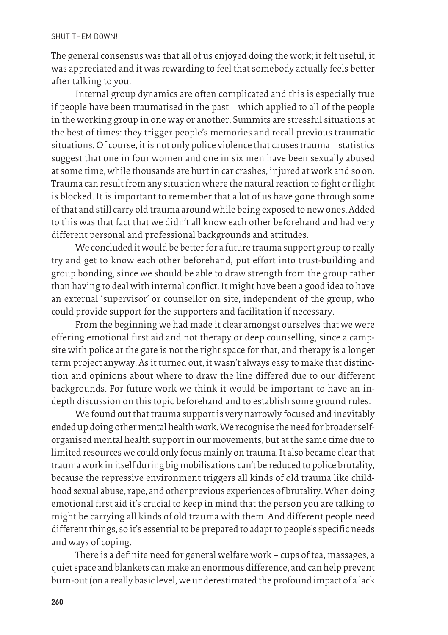The general consensus was that all of us enjoyed doing the work; it felt useful, it was appreciated and it was rewarding to feel that somebody actually feels better after talking to you.

Internal group dynamics are often complicated and this is especially true if people have been traumatised in the past – which applied to all of the people in the working group in one way or another. Summits are stressful situations at the best of times: they trigger people's memories and recall previous traumatic situations. Of course, it is not only police violence that causes trauma – statistics suggest that one in four women and one in six men have been sexually abused at some time, while thousands are hurt in car crashes, injured at work and so on. Trauma can result from any situation where the natural reaction to fight or flight is blocked. It is important to remember that a lot of us have gone through some of that and still carry old trauma around while being exposed to new ones. Added to this was that fact that we didn't all know each other beforehand and had very different personal and professional backgrounds and attitudes.

We concluded it would be better for a future trauma support group to really try and get to know each other beforehand, put effort into trust-building and group bonding, since we should be able to draw strength from the group rather than having to deal with internal conflict. It might have been a good idea to have an external 'supervisor' or counsellor on site, independent of the group, who could provide support for the supporters and facilitation if necessary.

From the beginning we had made it clear amongst ourselves that we were offering emotional first aid and not therapy or deep counselling, since a campsite with police at the gate is not the right space for that, and therapy is a longer term project anyway. As it turned out, it wasn't always easy to make that distinction and opinions about where to draw the line differed due to our different backgrounds. For future work we think it would be important to have an indepth discussion on this topic beforehand and to establish some ground rules.

We found out that trauma support is very narrowly focused and inevitably ended up doing other mental health work. We recognise the need for broader selforganised mental health support in our movements, but at the same time due to limited resources we could only focus mainly on trauma. It also became clear that trauma work in itself during big mobilisations can't be reduced to police brutality, because the repressive environment triggers all kinds of old trauma like childhood sexual abuse, rape, and other previous experiences of brutality. When doing emotional first aid it's crucial to keep in mind that the person you are talking to might be carrying all kinds of old trauma with them. And different people need different things, so it's essential to be prepared to adapt to people's specific needs and ways of coping.

There is a definite need for general welfare work – cups of tea, massages, a quiet space and blankets can make an enormous difference, and can help prevent burn-out (on a really basic level, we underestimated the profound impact of a lack